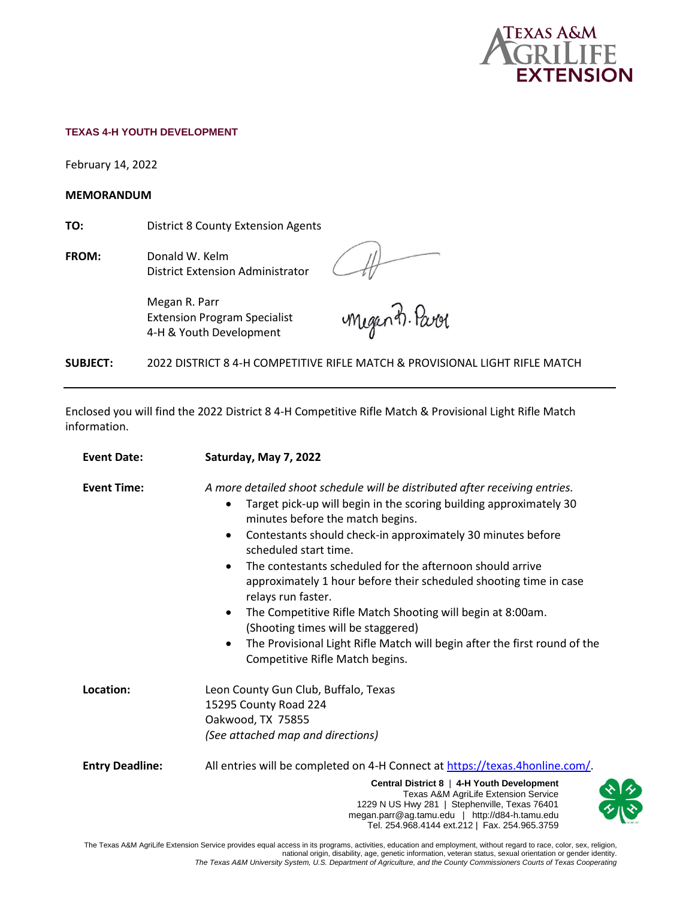

#### **TEXAS 4-H YOUTH DEVELOPMENT**

February 14, 2022

**MEMORANDUM** 

**TO:** District 8 County Extension Agents

**FROM:** Donald W. Kelm District Extension Administrator

At megants. Parol

Megan R. Parr Extension Program Specialist 4-H & Youth Development

**SUBJECT:** 2022 DISTRICT 8 4-H COMPETITIVE RIFLE MATCH & PROVISIONAL LIGHT RIFLE MATCH

Enclosed you will find the 2022 District 8 4-H Competitive Rifle Match & Provisional Light Rifle Match information.

| <b>Event Date:</b>     | Saturday, May 7, 2022                                                                                                                                                                                                                                                                                                                                                                                                                                                                                                                                                                                                                                                                                              |  |  |  |
|------------------------|--------------------------------------------------------------------------------------------------------------------------------------------------------------------------------------------------------------------------------------------------------------------------------------------------------------------------------------------------------------------------------------------------------------------------------------------------------------------------------------------------------------------------------------------------------------------------------------------------------------------------------------------------------------------------------------------------------------------|--|--|--|
| <b>Event Time:</b>     | A more detailed shoot schedule will be distributed after receiving entries.<br>Target pick-up will begin in the scoring building approximately 30<br>$\bullet$<br>minutes before the match begins.<br>Contestants should check-in approximately 30 minutes before<br>$\bullet$<br>scheduled start time.<br>The contestants scheduled for the afternoon should arrive<br>$\bullet$<br>approximately 1 hour before their scheduled shooting time in case<br>relays run faster.<br>The Competitive Rifle Match Shooting will begin at 8:00am.<br>$\bullet$<br>(Shooting times will be staggered)<br>The Provisional Light Rifle Match will begin after the first round of the<br>٠<br>Competitive Rifle Match begins. |  |  |  |
| Location:              | Leon County Gun Club, Buffalo, Texas<br>15295 County Road 224<br>Oakwood, TX 75855<br>(See attached map and directions)                                                                                                                                                                                                                                                                                                                                                                                                                                                                                                                                                                                            |  |  |  |
| <b>Entry Deadline:</b> | All entries will be completed on 4-H Connect at https://texas.4honline.com/<br>Central District 8   4-H Youth Development<br>Texas A&M AgriLife Extension Service<br>1229 N US Hwy 281   Stephenville, Texas 76401<br>megan.parr@ag.tamu.edu   http://d84-h.tamu.edu<br>Tel. 254.968.4144 ext.212   Fax. 254.965.3759                                                                                                                                                                                                                                                                                                                                                                                              |  |  |  |

The Texas A&M AgriLife Extension Service provides equal access in its programs, activities, education and employment, without regard to race, color, sex, religion, national origin, disability, age, genetic information, veteran status, sexual orientation or gender identity. *The Texas A&M University System, U.S. Department of Agriculture, and the County Commissioners Courts of Texas Cooperating*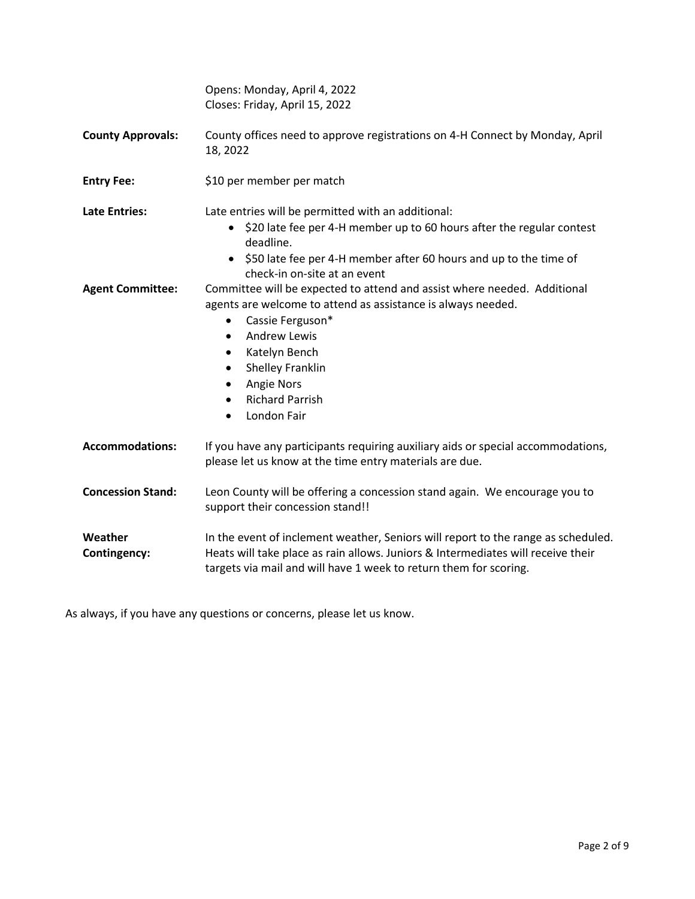|                          | Opens: Monday, April 4, 2022<br>Closes: Friday, April 15, 2022                                                                                                                                                                                                                                                         |  |  |  |  |
|--------------------------|------------------------------------------------------------------------------------------------------------------------------------------------------------------------------------------------------------------------------------------------------------------------------------------------------------------------|--|--|--|--|
| <b>County Approvals:</b> | County offices need to approve registrations on 4-H Connect by Monday, April<br>18, 2022                                                                                                                                                                                                                               |  |  |  |  |
| <b>Entry Fee:</b>        | \$10 per member per match                                                                                                                                                                                                                                                                                              |  |  |  |  |
| <b>Late Entries:</b>     | Late entries will be permitted with an additional:<br>• \$20 late fee per 4-H member up to 60 hours after the regular contest<br>deadline.<br>• \$50 late fee per 4-H member after 60 hours and up to the time of<br>check-in on-site at an event                                                                      |  |  |  |  |
| <b>Agent Committee:</b>  | Committee will be expected to attend and assist where needed. Additional<br>agents are welcome to attend as assistance is always needed.<br>Cassie Ferguson*<br>$\bullet$<br><b>Andrew Lewis</b><br>Katelyn Bench<br>Shelley Franklin<br>Angie Nors<br><b>Richard Parrish</b><br>$\bullet$<br>London Fair<br>$\bullet$ |  |  |  |  |
| <b>Accommodations:</b>   | If you have any participants requiring auxiliary aids or special accommodations,<br>please let us know at the time entry materials are due.                                                                                                                                                                            |  |  |  |  |
| <b>Concession Stand:</b> | Leon County will be offering a concession stand again. We encourage you to<br>support their concession stand!!                                                                                                                                                                                                         |  |  |  |  |
| Weather<br>Contingency:  | In the event of inclement weather, Seniors will report to the range as scheduled.<br>Heats will take place as rain allows. Juniors & Intermediates will receive their<br>targets via mail and will have 1 week to return them for scoring.                                                                             |  |  |  |  |

As always, if you have any questions or concerns, please let us know.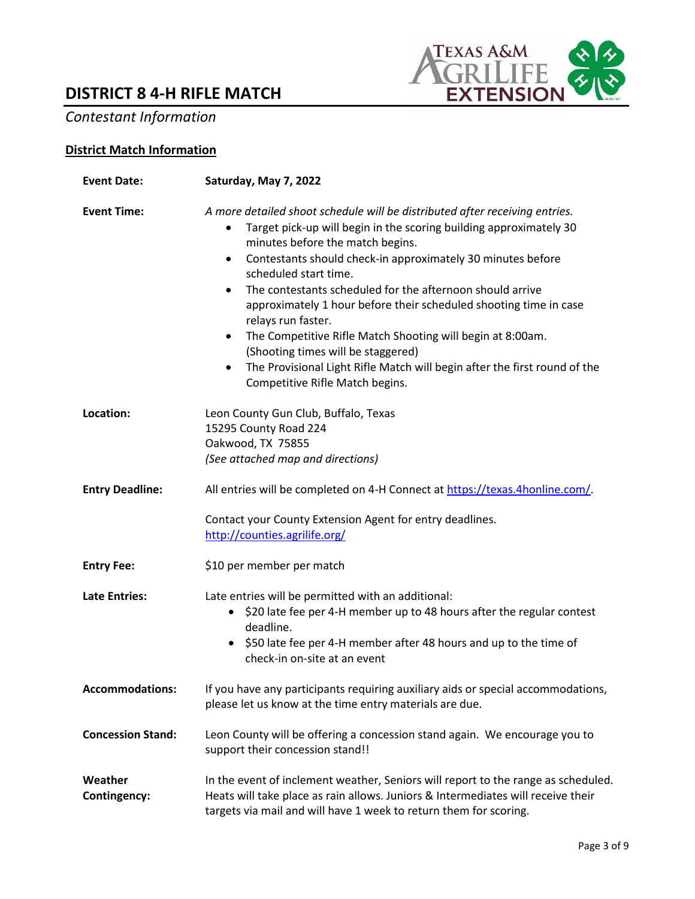# **DISTRICT 8 4-H RIFLE MATCH**



# *Contestant Information*

# **District Match Information**

| <b>Event Date:</b>       | Saturday, May 7, 2022                                                                                                                                                                                                                                                                                                                                                                                                                                                                                                                                                                                                                                                                              |  |  |  |  |
|--------------------------|----------------------------------------------------------------------------------------------------------------------------------------------------------------------------------------------------------------------------------------------------------------------------------------------------------------------------------------------------------------------------------------------------------------------------------------------------------------------------------------------------------------------------------------------------------------------------------------------------------------------------------------------------------------------------------------------------|--|--|--|--|
| <b>Event Time:</b>       | A more detailed shoot schedule will be distributed after receiving entries.<br>Target pick-up will begin in the scoring building approximately 30<br>minutes before the match begins.<br>Contestants should check-in approximately 30 minutes before<br>$\bullet$<br>scheduled start time.<br>The contestants scheduled for the afternoon should arrive<br>$\bullet$<br>approximately 1 hour before their scheduled shooting time in case<br>relays run faster.<br>• The Competitive Rifle Match Shooting will begin at 8:00am.<br>(Shooting times will be staggered)<br>The Provisional Light Rifle Match will begin after the first round of the<br>$\bullet$<br>Competitive Rifle Match begins. |  |  |  |  |
| Location:                | Leon County Gun Club, Buffalo, Texas<br>15295 County Road 224<br>Oakwood, TX 75855<br>(See attached map and directions)                                                                                                                                                                                                                                                                                                                                                                                                                                                                                                                                                                            |  |  |  |  |
| <b>Entry Deadline:</b>   | All entries will be completed on 4-H Connect at https://texas.4honline.com/.<br>Contact your County Extension Agent for entry deadlines.<br>http://counties.agrilife.org/                                                                                                                                                                                                                                                                                                                                                                                                                                                                                                                          |  |  |  |  |
|                          |                                                                                                                                                                                                                                                                                                                                                                                                                                                                                                                                                                                                                                                                                                    |  |  |  |  |
| <b>Entry Fee:</b>        | \$10 per member per match                                                                                                                                                                                                                                                                                                                                                                                                                                                                                                                                                                                                                                                                          |  |  |  |  |
| <b>Late Entries:</b>     | Late entries will be permitted with an additional:<br>• \$20 late fee per 4-H member up to 48 hours after the regular contest<br>deadline.<br>• \$50 late fee per 4-H member after 48 hours and up to the time of<br>check-in on-site at an event                                                                                                                                                                                                                                                                                                                                                                                                                                                  |  |  |  |  |
| <b>Accommodations:</b>   | If you have any participants requiring auxiliary aids or special accommodations,<br>please let us know at the time entry materials are due.                                                                                                                                                                                                                                                                                                                                                                                                                                                                                                                                                        |  |  |  |  |
| <b>Concession Stand:</b> | Leon County will be offering a concession stand again. We encourage you to<br>support their concession stand!!                                                                                                                                                                                                                                                                                                                                                                                                                                                                                                                                                                                     |  |  |  |  |
| Weather<br>Contingency:  | In the event of inclement weather, Seniors will report to the range as scheduled.<br>Heats will take place as rain allows. Juniors & Intermediates will receive their<br>targets via mail and will have 1 week to return them for scoring.                                                                                                                                                                                                                                                                                                                                                                                                                                                         |  |  |  |  |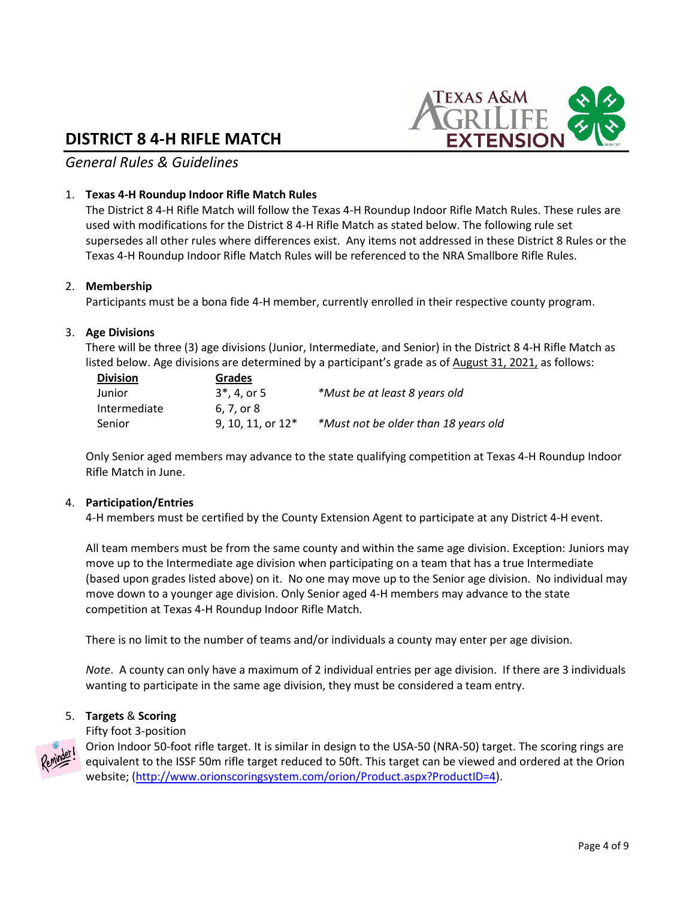# **DISTRICT 8 4-H RIFLE MATCH**



*General Rules & Guidelines*

## 1. **Texas 4-H Roundup Indoor Rifle Match Rules**

The District 8 4-H Rifle Match will follow the Texas 4-H Roundup Indoor Rifle Match Rules. These rules are used with modifications for the District 8 4-H Rifle Match as stated below. The following rule set supersedes all other rules where differences exist. Any items not addressed in these District 8 Rules or the Texas 4-H Roundup Indoor Rifle Match Rules will be referenced to the NRA Smallbore Rifle Rules.

#### 2. **Membership**

Participants must be a bona fide 4-H member, currently enrolled in their respective county program.

#### 3. **Age Divisions**

There will be three (3) age divisions (Junior, Intermediate, and Senior) in the District 8 4-H Rifle Match as listed below. Age divisions are determined by a participant's grade as of August 31, 2021, as follows:

| <b>Division</b> | Grades               |                                      |  |  |
|-----------------|----------------------|--------------------------------------|--|--|
| Junior          | $3^*$ , 4, or 5      | *Must be at least 8 years old        |  |  |
| Intermediate    | 6. 7. or 8           |                                      |  |  |
| Senior          | $9.10.11$ , or $12*$ | *Must not be older than 18 years old |  |  |

Only Senior aged members may advance to the state qualifying competition at Texas 4-H Roundup Indoor Rifle Match in June.

#### 4. **Participation/Entries**

4-H members must be certified by the County Extension Agent to participate at any District 4-H event.

All team members must be from the same county and within the same age division. Exception: Juniors may move up to the Intermediate age division when participating on a team that has a true Intermediate (based upon grades listed above) on it. No one may move up to the Senior age division. No individual may move down to a younger age division. Only Senior aged 4-H members may advance to the state competition at Texas 4-H Roundup Indoor Rifle Match.

There is no limit to the number of teams and/or individuals a county may enter per age division.

*Note*. A county can only have a maximum of 2 individual entries per age division. If there are 3 individuals wanting to participate in the same age division, they must be considered a team entry.

#### 5. **Targets** & **Scoring**

Fifty foot 3-position



Orion Indoor 50-foot rifle target. It is similar in design to the USA-50 (NRA-50) target. The scoring rings are equivalent to the ISSF 50m rifle target reduced to 50ft. This target can be viewed and ordered at the Orion website; [\(http://www.orionscoringsystem.com/orion/Product.aspx?ProductID=4\)](http://www.orionscoringsystem.com/orion/Product.aspx?ProductID=4).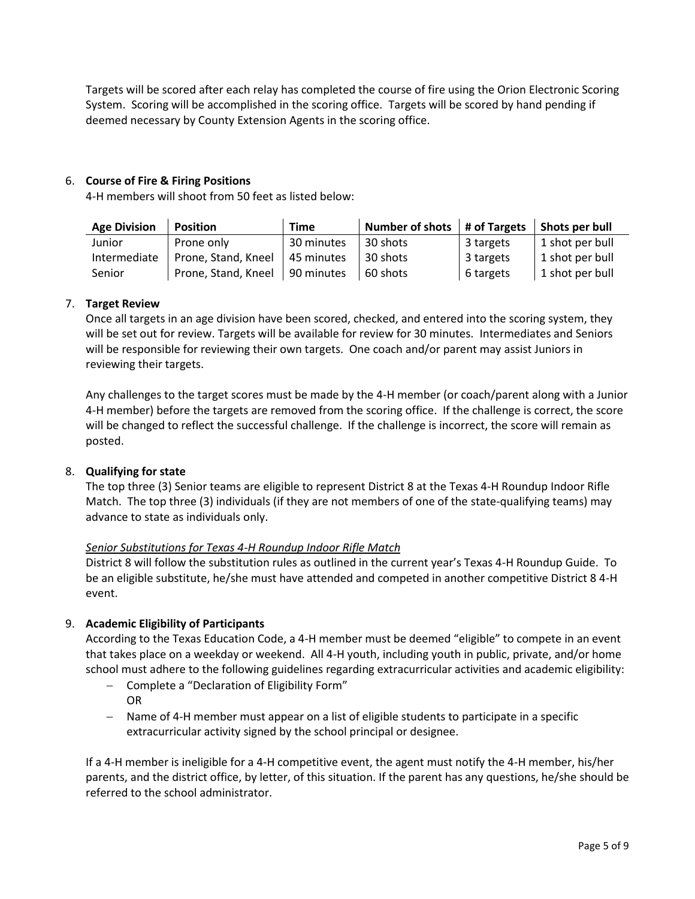Targets will be scored after each relay has completed the course of fire using the Orion Electronic Scoring System. Scoring will be accomplished in the scoring office. Targets will be scored by hand pending if deemed necessary by County Extension Agents in the scoring office.

## 6. **Course of Fire & Firing Positions**

4-H members will shoot from 50 feet as listed below:

| <b>Age Division</b> | <b>Position</b>     | <b>Time</b> | Number of shots $\parallel$ # of Targets $\parallel$ Shots per bull |           |                 |
|---------------------|---------------------|-------------|---------------------------------------------------------------------|-----------|-----------------|
| Junior              | Prone only          | 30 minutes  | 30 shots                                                            | 3 targets | 1 shot per bull |
| Intermediate        | Prone, Stand, Kneel | 45 minutes  | 30 shots                                                            | 3 targets | 1 shot per bull |
| Senior              | Prone, Stand, Kneel | 90 minutes  | 60 shots                                                            | 6 targets | 1 shot per bull |

## 7. **Target Review**

Once all targets in an age division have been scored, checked, and entered into the scoring system, they will be set out for review. Targets will be available for review for 30 minutes. Intermediates and Seniors will be responsible for reviewing their own targets. One coach and/or parent may assist Juniors in reviewing their targets.

Any challenges to the target scores must be made by the 4-H member (or coach/parent along with a Junior 4-H member) before the targets are removed from the scoring office. If the challenge is correct, the score will be changed to reflect the successful challenge. If the challenge is incorrect, the score will remain as posted.

#### 8. **Qualifying for state**

The top three (3) Senior teams are eligible to represent District 8 at the Texas 4-H Roundup Indoor Rifle Match. The top three (3) individuals (if they are not members of one of the state-qualifying teams) may advance to state as individuals only.

#### *Senior Substitutions for Texas 4-H Roundup Indoor Rifle Match*

District 8 will follow the substitution rules as outlined in the current year's Texas 4-H Roundup Guide. To be an eligible substitute, he/she must have attended and competed in another competitive District 8 4-H event.

#### 9. **Academic Eligibility of Participants**

According to the Texas Education Code, a 4-H member must be deemed "eligible" to compete in an event that takes place on a weekday or weekend. All 4-H youth, including youth in public, private, and/or home school must adhere to the following guidelines regarding extracurricular activities and academic eligibility:

- − Complete a "Declaration of Eligibility Form" OR
- − Name of 4-H member must appear on a list of eligible students to participate in a specific extracurricular activity signed by the school principal or designee.

If a 4-H member is ineligible for a 4-H competitive event, the agent must notify the 4-H member, his/her parents, and the district office, by letter, of this situation. If the parent has any questions, he/she should be referred to the school administrator.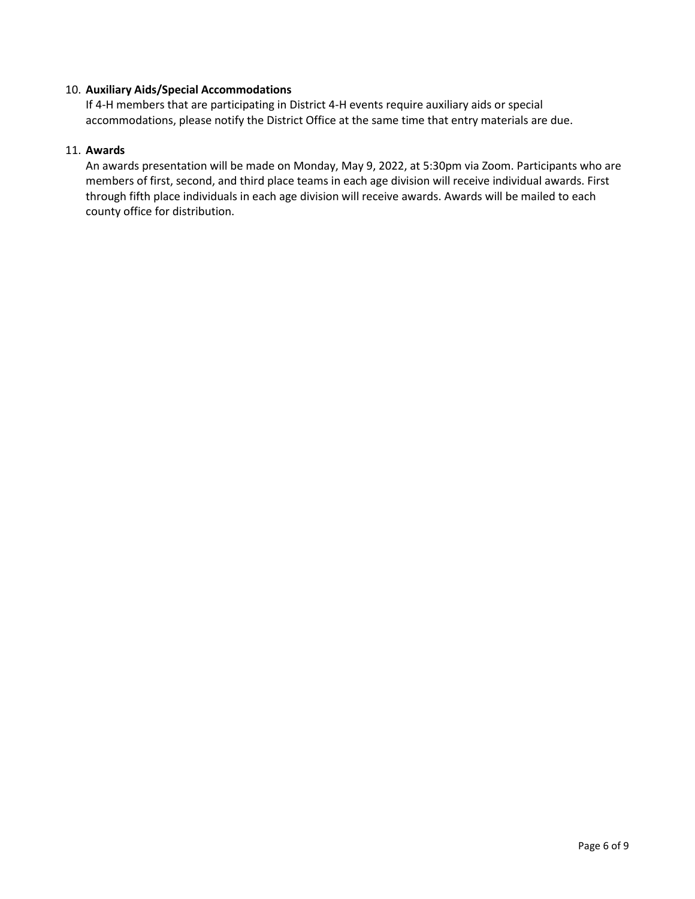#### 10. **Auxiliary Aids/Special Accommodations**

If 4-H members that are participating in District 4-H events require auxiliary aids or special accommodations, please notify the District Office at the same time that entry materials are due.

#### 11. **Awards**

An awards presentation will be made on Monday, May 9, 2022, at 5:30pm via Zoom. Participants who are members of first, second, and third place teams in each age division will receive individual awards. First through fifth place individuals in each age division will receive awards. Awards will be mailed to each county office for distribution.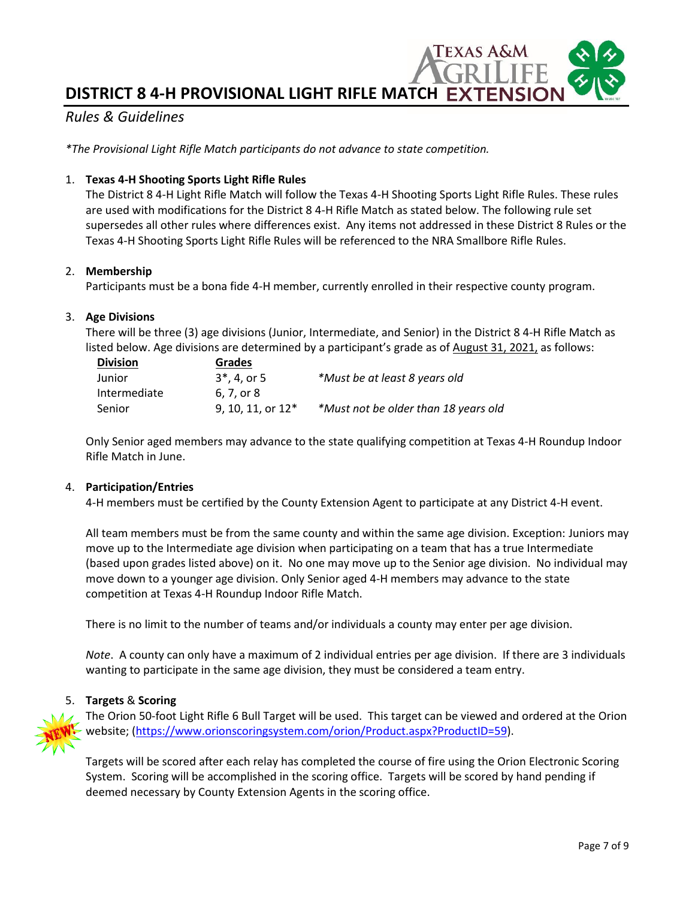**DISTRICT 8 4-H PROVISIONAL LIGHT RIFLE MATCH**

# *Rules & Guidelines*

*\*The Provisional Light Rifle Match participants do not advance to state competition.* 

#### 1. **Texas 4-H Shooting Sports Light Rifle Rules**

The District 8 4-H Light Rifle Match will follow the Texas 4-H Shooting Sports Light Rifle Rules. These rules are used with modifications for the District 8 4-H Rifle Match as stated below. The following rule set supersedes all other rules where differences exist. Any items not addressed in these District 8 Rules or the Texas 4-H Shooting Sports Light Rifle Rules will be referenced to the NRA Smallbore Rifle Rules.

#### 2. **Membership**

Participants must be a bona fide 4-H member, currently enrolled in their respective county program.

#### 3. **Age Divisions**

There will be three (3) age divisions (Junior, Intermediate, and Senior) in the District 8 4-H Rifle Match as listed below. Age divisions are determined by a participant's grade as of August 31, 2021, as follows:

| <b>Division</b> | <b>Grades</b>       |                                      |
|-----------------|---------------------|--------------------------------------|
| Junior          | $3^*$ , 4, or 5     | *Must be at least 8 years old        |
| Intermediate    | 6.7. or 8           |                                      |
| Senior          | 9, 10, 11, or $12*$ | *Must not be older than 18 years old |

Only Senior aged members may advance to the state qualifying competition at Texas 4-H Roundup Indoor Rifle Match in June.

#### 4. **Participation/Entries**

4-H members must be certified by the County Extension Agent to participate at any District 4-H event.

All team members must be from the same county and within the same age division. Exception: Juniors may move up to the Intermediate age division when participating on a team that has a true Intermediate (based upon grades listed above) on it. No one may move up to the Senior age division. No individual may move down to a younger age division. Only Senior aged 4-H members may advance to the state competition at Texas 4-H Roundup Indoor Rifle Match.

There is no limit to the number of teams and/or individuals a county may enter per age division.

*Note*. A county can only have a maximum of 2 individual entries per age division. If there are 3 individuals wanting to participate in the same age division, they must be considered a team entry.

#### 5. **Targets** & **Scoring**



The Orion 50-foot Light Rifle 6 Bull Target will be used. This target can be viewed and ordered at the Orion website; [\(https://www.orionscoringsystem.com/orion/Product.aspx?ProductID=59\)](https://www.orionscoringsystem.com/orion/Product.aspx?ProductID=59).

Targets will be scored after each relay has completed the course of fire using the Orion Electronic Scoring System. Scoring will be accomplished in the scoring office. Targets will be scored by hand pending if deemed necessary by County Extension Agents in the scoring office.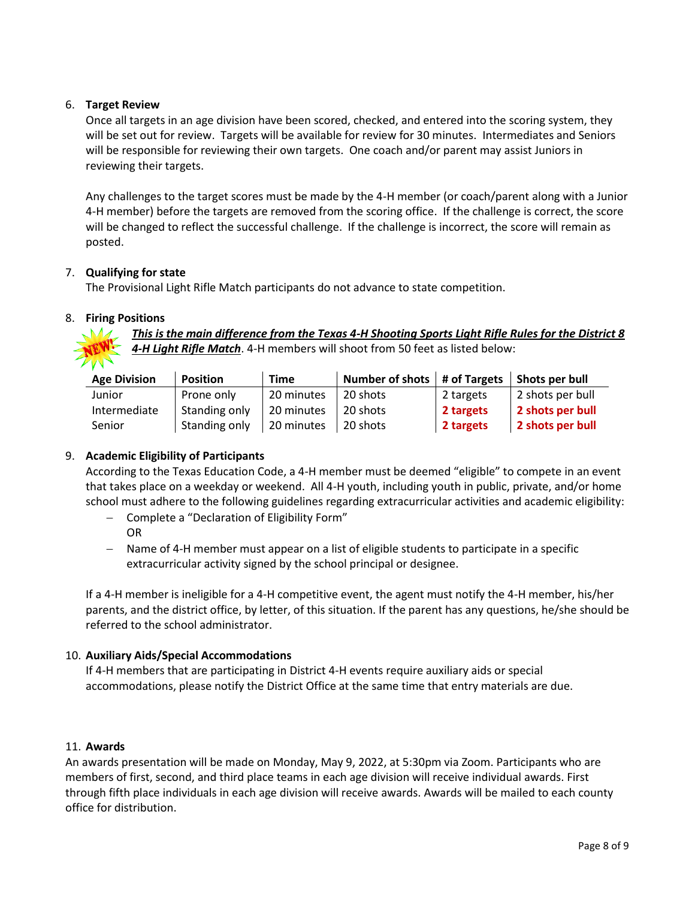## 6. **Target Review**

Once all targets in an age division have been scored, checked, and entered into the scoring system, they will be set out for review. Targets will be available for review for 30 minutes. Intermediates and Seniors will be responsible for reviewing their own targets. One coach and/or parent may assist Juniors in reviewing their targets.

Any challenges to the target scores must be made by the 4-H member (or coach/parent along with a Junior 4-H member) before the targets are removed from the scoring office. If the challenge is correct, the score will be changed to reflect the successful challenge. If the challenge is incorrect, the score will remain as posted.

## 7. **Qualifying for state**

The Provisional Light Rifle Match participants do not advance to state competition.

## 8. **Firing Positions**

*This is the main difference from the Texas 4-H Shooting Sports Light Rifle Rules for the District 8 4-H Light Rifle Match*. 4-H members will shoot from 50 feet as listed below:

| <b>Age Division</b> | <b>Position</b> | <b>Time</b> | Number of shots $ $ # of Targets $ $ Shots per bull |           |                  |
|---------------------|-----------------|-------------|-----------------------------------------------------|-----------|------------------|
| Junior              | Prone only      | 20 minutes  | 20 shots                                            | 2 targets | 2 shots per bull |
| Intermediate        | Standing only   | 20 minutes  | 20 shots                                            | 2 targets | 2 shots per bull |
| Senior              | Standing only   | 20 minutes  | 20 shots                                            | 2 targets | 2 shots per bull |

## 9. **Academic Eligibility of Participants**

According to the Texas Education Code, a 4-H member must be deemed "eligible" to compete in an event that takes place on a weekday or weekend. All 4-H youth, including youth in public, private, and/or home school must adhere to the following guidelines regarding extracurricular activities and academic eligibility:

- − Complete a "Declaration of Eligibility Form" OR
- − Name of 4-H member must appear on a list of eligible students to participate in a specific extracurricular activity signed by the school principal or designee.

If a 4-H member is ineligible for a 4-H competitive event, the agent must notify the 4-H member, his/her parents, and the district office, by letter, of this situation. If the parent has any questions, he/she should be referred to the school administrator.

## 10. **Auxiliary Aids/Special Accommodations**

If 4-H members that are participating in District 4-H events require auxiliary aids or special accommodations, please notify the District Office at the same time that entry materials are due.

#### 11. **Awards**

An awards presentation will be made on Monday, May 9, 2022, at 5:30pm via Zoom. Participants who are members of first, second, and third place teams in each age division will receive individual awards. First through fifth place individuals in each age division will receive awards. Awards will be mailed to each county office for distribution.